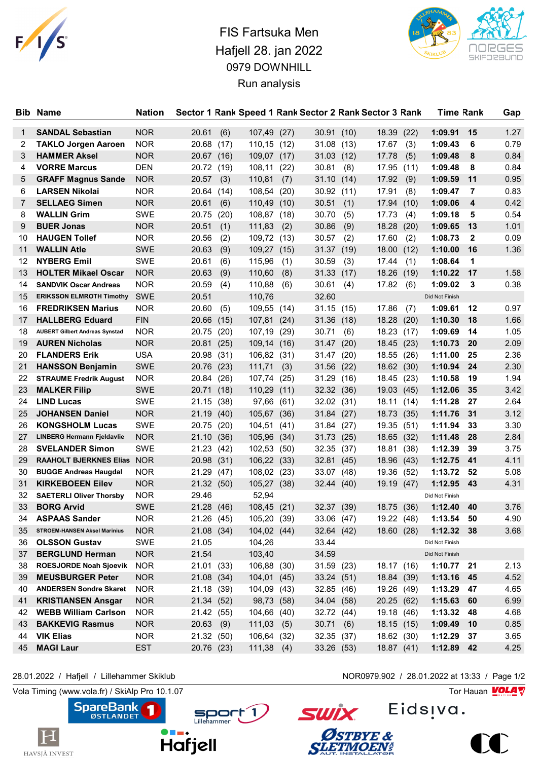

## FIS Fartsuka Men Hafjell 28. jan 2022 0979 DOWNHILL Run analysis



| <b>Bib</b> | <b>Name</b>                           | <b>Nation</b> |             |      |              |      |            |      | Sector 1 Rank Speed 1 Rank Sector 2 Rank Sector 3 Rank | Time Rank      |              | Gap  |
|------------|---------------------------------------|---------------|-------------|------|--------------|------|------------|------|--------------------------------------------------------|----------------|--------------|------|
| 1          | <b>SANDAL Sebastian</b>               | <b>NOR</b>    | 20.61       | (6)  | 107,49       | (27) | 30.91      | (10) | 18.39<br>(22)                                          | 1:09.91        | 15           | 1.27 |
| 2          | <b>TAKLO Jorgen Aaroen</b>            | <b>NOR</b>    | 20.68       | (17) | 110,15       | (12) | 31.08      | (13) | 17.67<br>(3)                                           | 1:09.43        | 6            | 0.79 |
| 3          | <b>HAMMER Aksel</b>                   | <b>NOR</b>    | 20.67(16)   |      | 109,07 (17)  |      | 31.03      | (12) | 17.78<br>(5)                                           | 1:09.48        | 8            | 0.84 |
| 4          | <b>VORRE Marcus</b>                   | <b>DEN</b>    | 20.72 (19)  |      | 108,11       | (22) | 30.81      | (8)  | 17.95<br>(11)                                          | 1:09.48        | 8            | 0.84 |
| 5          | <b>GRAFF Magnus Sande</b>             | <b>NOR</b>    | 20.57       | (3)  | 110,81       | (7)  | 31.10      | (14) | 17.92<br>(9)                                           | 1:09.59        | 11           | 0.95 |
| 6          | <b>LARSEN Nikolai</b>                 | <b>NOR</b>    | 20.64 (14)  |      | 108,54       | (20) | 30.92      | (11) | 17.91<br>(8)                                           | 1:09.47        | 7            | 0.83 |
| 7          | <b>SELLAEG Simen</b>                  | NOR           | 20.61       | (6)  | 110,49       | (10) | 30.51      | (1)  | 17.94<br>(10)                                          | 1:09.06        | 4            | 0.42 |
| 8          | <b>WALLIN Grim</b>                    | SWE           | 20.75       | (20) | 108,87       | (18) | 30.70      | (5)  | 17.73<br>(4)                                           | 1:09.18        | 5            | 0.54 |
| 9          | <b>BUER Jonas</b>                     | <b>NOR</b>    | 20.51       | (1)  | 111,83       | (2)  | 30.86      | (9)  | 18.28<br>(20)                                          | 1:09.65        | 13           | 1.01 |
| 10         | <b>HAUGEN Tollef</b>                  | <b>NOR</b>    | 20.56       | (2)  | 109,72 (13)  |      | 30.57      | (2)  | 17.60<br>(2)                                           | 1:08.73        | $\mathbf{2}$ | 0.09 |
| 11         | <b>WALLIN Atle</b>                    | <b>SWE</b>    | 20.63       | (9)  | 109,27 (15)  |      | 31.37      | (19) | (12)<br>18.00                                          | 1:10.00        | 16           | 1.36 |
| 12         | <b>NYBERG Emil</b>                    | <b>SWE</b>    | 20.61       | (6)  | 115,96       | (1)  | 30.59      | (3)  | 17.44<br>(1)                                           | 1:08.64        | 1            |      |
| 13         | <b>HOLTER Mikael Oscar</b>            | <b>NOR</b>    | 20.63       | (9)  | 110,60       | (8)  | 31.33      | (17) | 18.26<br>(19)                                          | 1:10.22        | 17           | 1.58 |
| 14         | <b>SANDVIK Oscar Andreas</b>          | <b>NOR</b>    | 20.59       | (4)  | 110,88       | (6)  | 30.61      | (4)  | 17.82<br>(6)                                           | 1:09.02        | 3            | 0.38 |
| 15         | <b>ERIKSSON ELMROTH Timothy</b>       | <b>SWE</b>    | 20.51       |      | 110,76       |      | 32.60      |      |                                                        | Did Not Finish |              |      |
| 16         | <b>FREDRIKSEN Marius</b>              | <b>NOR</b>    | 20.60       | (5)  | 109,55 (14)  |      | 31.15      | (15) | 17.86<br>(7)                                           | 1:09.61        | 12           | 0.97 |
| 17         | <b>HALLBERG Eduard</b>                | <b>FIN</b>    | 20.66       | (15) | 107,81 (24)  |      | 31.36      | (18) | 18.28 (20)                                             | 1:10.30        | 18           | 1.66 |
| 18         | <b>AUBERT Gilbert Andreas Synstad</b> | <b>NOR</b>    | 20.75       | (20) | 107,19       | (29) | 30.71      | (6)  | 18.23 (17)                                             | 1:09.69        | 14           | 1.05 |
| 19         | <b>AUREN Nicholas</b>                 | <b>NOR</b>    | 20.81 (25)  |      | 109,14 (16)  |      | 31.47 (20) |      | 18.45 (23)                                             | 1:10.73        | 20           | 2.09 |
| 20         | <b>FLANDERS Erik</b>                  | <b>USA</b>    | 20.98 (31)  |      | 106,82 (31)  |      | 31.47      | (20) | 18.55 (26)                                             | 1:11.00        | 25           | 2.36 |
| 21         | <b>HANSSON Benjamin</b>               | <b>SWE</b>    | 20.76       | (23) | 111,71       | (3)  | 31.56      | (22) | 18.62 (30)                                             | 1:10.94        | 24           | 2.30 |
| 22         | <b>STRAUME Fredrik August</b>         | <b>NOR</b>    | 20.84       | (26) | 107,74       | (25) | 31.29      | (16) | 18.45 (23)                                             | 1:10.58        | 19           | 1.94 |
| 23         | <b>MALKER Filip</b>                   | <b>SWE</b>    | 20.71 (18)  |      | 110,29       | (11) | 32.32 (36) |      | 19.03(45)                                              | 1:12.06        | 35           | 3.42 |
| 24         | <b>LIND Lucas</b>                     | <b>SWE</b>    | 21.15       | (38) | 97,66        | (61) | 32.02      | (31) | 18.11<br>(14)                                          | 1:11.28        | 27           | 2.64 |
| 25         | <b>JOHANSEN Daniel</b>                | <b>NOR</b>    | 21.19 (40)  |      | 105,67       | (36) | 31.84 (27) |      | 18.73 (35)                                             | 1:11.76        | -31          | 3.12 |
| 26         | <b>KONGSHOLM Lucas</b>                | SWE           | 20.75       | (20) | 104,51       | (41) | 31.84 (27) |      | 19.35 (51)                                             | 1:11.94        | 33           | 3.30 |
| 27         | <b>LINBERG Hermann Fjeldavlie</b>     | <b>NOR</b>    | 21.10       | (36) | 105,96       | (34) | 31.73      | (25) | 18.65 (32)                                             | 1:11.48        | 28           | 2.84 |
| 28         | <b>SVELANDER Simon</b>                | SWE           | 21.23 (42)  |      | 102,53       | (50) | 32.35 (37) |      | 18.81 (38)                                             | 1:12.39        | 39           | 3.75 |
| 29         | <b>RAAHOLT BJERKNES Elias NOR</b>     |               | 20.98 (31)  |      | 106,22 (33)  |      | 32.81 (45) |      | 18.96 (43)                                             | 1:12.75        | 41           | 4.11 |
| 30         | <b>BUGGE Andreas Haugdal</b>          | <b>NOR</b>    | 21.29       | (47) | 108,02       | (23) | 33.07 (48) |      | 19.36 (52)                                             | 1:13.72        | 52           | 5.08 |
| 31         | <b>KIRKEBOEEN Eilev</b>               | <b>NOR</b>    | 21.32 (50)  |      | 105,27 (38)  |      | 32.44 (40) |      | 19.19 (47)                                             | 1:12.95        | 43           | 4.31 |
| 32         | <b>SAETERLI Oliver Thorsby</b>        | NOR.          | 29.46       |      | 52,94        |      |            |      |                                                        | Did Not Finish |              |      |
| 33         | <b>BORG Arvid</b>                     | <b>SWE</b>    | 21.28       | (46) | 108,45 (21)  |      | 32.37 (39) |      | 18.75<br>(36)                                          | 1:12.40        | 40           | 3.76 |
| 34         | <b>ASPAAS Sander</b>                  | <b>NOR</b>    | 21.26 (45)  |      | 105,20 (39)  |      | 33.06 (47) |      | 19.22 (48)                                             | 1:13.54        | 50           | 4.90 |
| 35         | <b>STROEM-HANSEN Aksel Marinius</b>   | <b>NOR</b>    | 21.08 (34)  |      | 104,02 (44)  |      | 32.64 (42) |      | 18.60 (28)                                             | 1:12.32        | 38           | 3.68 |
| 36         | <b>OLSSON Gustav</b>                  | SWE           | 21.05       |      | 104,26       |      | 33.44      |      |                                                        | Did Not Finish |              |      |
| 37         | <b>BERGLUND Herman</b>                | <b>NOR</b>    | 21.54       |      | 103,40       |      | 34.59      |      |                                                        | Did Not Finish |              |      |
| 38         | <b>ROESJORDE Noah Sjoevik</b>         | <b>NOR</b>    | 21.01 (33)  |      | 106,88 (30)  |      | 31.59 (23) |      | 18.17 (16)                                             | $1:10.77$ 21   |              | 2.13 |
| 39         | <b>MEUSBURGER Peter</b>               | <b>NOR</b>    | 21.08 (34)  |      | 104,01 (45)  |      | 33.24 (51) |      | 18.84 (39)                                             | 1:13.16        | 45           | 4.52 |
| 40         | <b>ANDERSEN Sondre Skaret</b>         | <b>NOR</b>    | 21.18 (39)  |      | 104,09 (43)  |      | 32.85 (46) |      | 19.26 (49)                                             | 1:13.29        | 47           | 4.65 |
| 41         | <b>KRISTIANSEN Ansgar</b>             | <b>NOR</b>    | 21.34 (52)  |      | 98,73 (58)   |      | 34.04 (58) |      | 20.25 (62)                                             | 1:15.63 60     |              | 6.99 |
| 42         | <b>WEBB William Carlson</b>           | <b>NOR</b>    | 21.42 (55)  |      | 104,66 (40)  |      | 32.72 (44) |      | 19.18 (46)                                             | 1:13.32        | 48           | 4.68 |
| 43         | <b>BAKKEVIG Rasmus</b>                | <b>NOR</b>    | $20.63$ (9) |      | 111,03       | (5)  | 30.71      | (6)  | 18.15(15)                                              | 1:09.49        | 10           | 0.85 |
| 44         | <b>VIK Elias</b>                      | <b>NOR</b>    | 21.32 (50)  |      | 106,64 (32)  |      | 32.35 (37) |      | 18.62 (30)                                             | 1:12.29        | - 37         | 3.65 |
| 45         | <b>MAGI Laur</b>                      | <b>EST</b>    | 20.76 (23)  |      | $111,38$ (4) |      | 33.26(53)  |      | 18.87(41)                                              | 1:12.89 42     |              | 4.25 |

 $\vert \mathrm{H} \vert$ 

HAVSJÅ INVEST

Vola Timing (www.vola.fr) / SkiAlp Pro 10.1.07  $\sqrt{2}$ 

**SpareBank** 

 $\blacksquare$ 



28.01.2022 / Hafjell / Lillehammer Skiklub NOR0979.902 / 28.01.2022 at 13:33 / Page 1/2

Eids<sub>!va.</sub>



**SWİX**